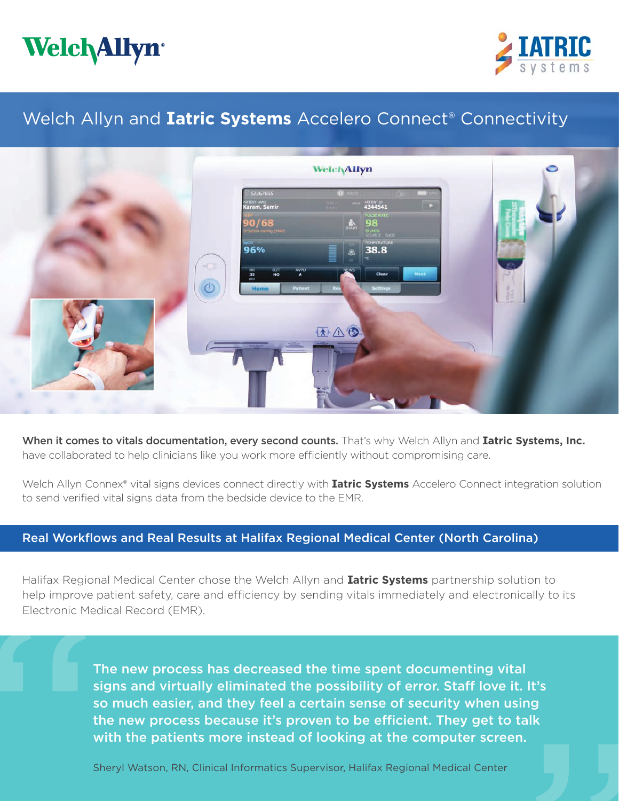



# Welch Allyn and **Iatric Systems** Accelero Connect® Connectivity



When it comes to vitals documentation, every second counts. That's why Welch Allyn and **Iatric Systems, Inc.** have collaborated to help clinicians like you work more efficiently without compromising care.

Welch Allyn Connex® vital signs devices connect directly with **Iatric Systems** Accelero Connect integration solution to send verified vital signs data from the bedside device to the EMR.

### Real Workflows and Real Results at Halifax Regional Medical Center (North Carolina)

Halifax Regional Medical Center chose the Welch Allyn and **Iatric Systems** partnership solution to help improve patient safety, care and efficiency by sending vitals immediately and electronically to its Electronic Medical Record (EMR).

> The new process has decreased the time spent documenting vital signs and virtually eliminated the possibility of error. Staff love it. It's so much easier, and they feel a certain sense of security when using the new process because it's proven to be efficient. They get to talk with the patients more instead of looking at the computer screen.

Sheryl Watson, RN, Clinical Informatics Supervisor, Halifax Regional Medical Center